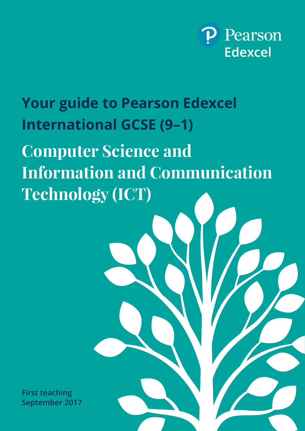

# **Your guide to Pearson Edexcel International GCSE (9–1)**

**Computer Science and Information and Communication Technology (ICT)**

**First teaching September 2017**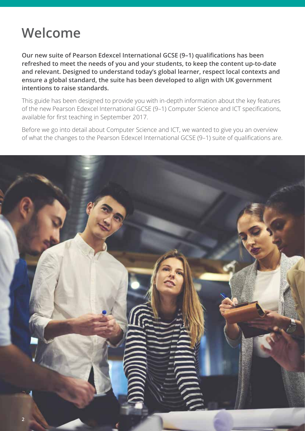### **Welcome**

**Our new suite of Pearson Edexcel International GCSE (9–1) qualifications has been refreshed to meet the needs of you and your students, to keep the content up-to-date and relevant. Designed to understand today's global learner, respect local contexts and ensure a global standard, the suite has been developed to align with UK government intentions to raise standards.**

This guide has been designed to provide you with in-depth information about the key features of the new Pearson Edexcel International GCSE (9–1) Computer Science and ICT specifications, available for first teaching in September 2017.

Before we go into detail about Computer Science and ICT, we wanted to give you an overview of what the changes to the Pearson Edexcel International GCSE (9–1) suite of qualifications are.

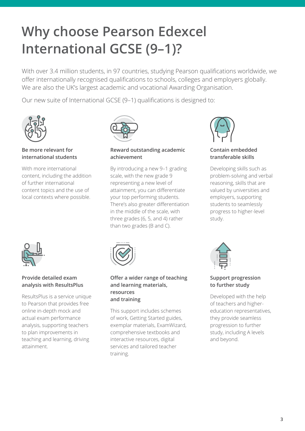# **Why choose Pearson Edexcel International GCSE (9–1)?**

With over 3.4 million students, in 97 countries, studying Pearson qualifications worldwide, we offer internationally recognised qualifications to schools, colleges and employers globally. We are also the UK's largest academic and vocational Awarding Organisation.

Our new suite of International GCSE (9–1) qualifications is designed to:



**Be more relevant for international students**

With more international content, including the addition of further international content topics and the use of local contexts where possible.



#### **Reward outstanding academic achievement**

By introducing a new 9–1 grading scale, with the new grade 9 representing a new level of attainment, you can differentiate your top performing students. There's also greater differentiation in the middle of the scale, with three grades (6, 5, and 4) rather than two grades (B and C).



**Contain embedded transferable skills**

Developing skills such as problem-solving and verbal reasoning, skills that are valued by universities and employers, supporting students to seamlessly progress to higher-level study.



#### **Provide detailed exam analysis with ResultsPlus**

ResultsPlus is a service unique to Pearson that provides free online in-depth mock and actual exam performance analysis, supporting teachers to plan improvements in teaching and learning, driving attainment.



#### **Offer a wider range of teaching and learning materials, resources and training**

This support includes schemes of work, Getting Started guides, exemplar materials, ExamWizard, comprehensive textbooks and interactive resources, digital services and tailored teacher training.



#### **Support progression to further study**

Developed with the help of teachers and highereducation representatives, they provide seamless progression to further study, including A levels and beyond.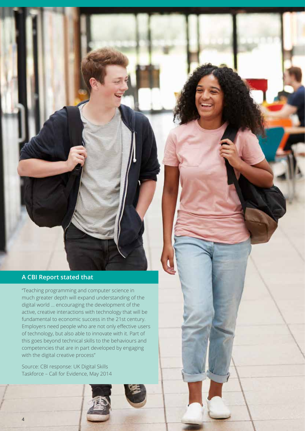#### **A CBI Report stated that**

"Teaching programming and computer science in much greater depth will expand understanding of the digital world … encouraging the development of the active, creative interactions with technology that will be fundamental to economic success in the 21st century. Employers need people who are not only effective users of technology, but also able to innovate with it. Part of this goes beyond technical skills to the behaviours and competencies that are in part developed by engaging with the digital creative process"

Source: CBI response: UK Digital Skills Taskforce – Call for Evidence, May 2014

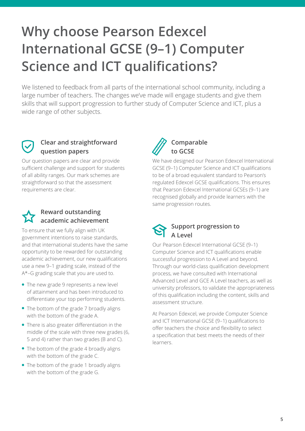# **Why choose Pearson Edexcel International GCSE (9–1) Computer Science and ICT qualifications?**

We listened to feedback from all parts of the international school community, including a large number of teachers. The changes we've made will engage students and give them skills that will support progression to further study of Computer Science and ICT, plus a wide range of other subjects.

#### **Clear and straightforward question papers**

Our question papers are clear and provide sufficient challenge and support for students of all ability ranges. Our mark schemes are straightforward so that the assessment requirements are clear.

#### **Reward outstanding academic achievement**

To ensure that we fully align with UK government intentions to raise standards, and that international students have the same opportunity to be rewarded for outstanding academic achievement, our new qualifications use a new 9–1 grading scale, instead of the A\*–G grading scale that you are used to.

- The new grade 9 represents a new level of attainment and has been introduced to differentiate your top performing students.
- The bottom of the grade 7 broadly aligns with the bottom of the grade A.
- There is also greater differentiation in the middle of the scale with three new grades (6, 5 and 4) rather than two grades (B and C).
- The bottom of the grade 4 broadly aligns with the bottom of the grade C.
- The bottom of the grade 1 broadly aligns with the bottom of the grade G.



 **Comparable to GCSE**

We have designed our Pearson Edexcel International GCSE (9–1) Computer Science and ICT qualifications to be of a broad equivalent standard to Pearson's regulated Edexcel GCSE qualifications. This ensures that Pearson Edexcel International GCSEs (9–1) are recognised globally and provide learners with the same progression routes.



Our Pearson Edexcel International GCSE (9–1) Computer Science and ICT qualifications enable successful progression to A Level and beyond. Through our world-class qualification development process, we have consulted with International Advanced Level and GCE A Level teachers, as well as university professors, to validate the appropriateness of this qualification including the content, skills and assessment structure.

At Pearson Edexcel, we provide Computer Science and ICT International GCSE (9–1) qualifications to offer teachers the choice and flexibility to select a specification that best meets the needs of their learners.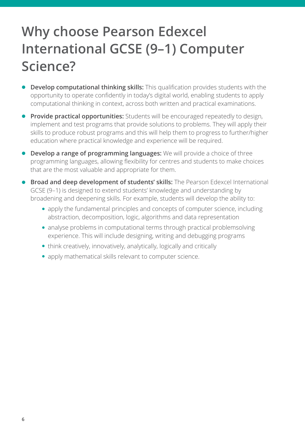## **Why choose Pearson Edexcel International GCSE (9–1) Computer Science?**

- **.** Develop computational thinking skills: This qualification provides students with the opportunity to operate confidently in today's digital world, enabling students to apply computational thinking in context, across both written and practical examinations.
- **Provide practical opportunities:** Students will be encouraged repeatedly to design, implement and test programs that provide solutions to problems. They will apply their skills to produce robust programs and this will help them to progress to further/higher education where practical knowledge and experience will be required.
- **Develop a range of programming languages:** We will provide a choice of three programming languages, allowing flexibility for centres and students to make choices that are the most valuable and appropriate for them.
- **Broad and deep development of students' skills:** The Pearson Edexcel International GCSE (9–1) is designed to extend students' knowledge and understanding by broadening and deepening skills. For example, students will develop the ability to:
	- apply the fundamental principles and concepts of computer science, including abstraction, decomposition, logic, algorithms and data representation
	- analyse problems in computational terms through practical problemsolving experience. This will include designing, writing and debugging programs
	- think creatively, innovatively, analytically, logically and critically
	- apply mathematical skills relevant to computer science.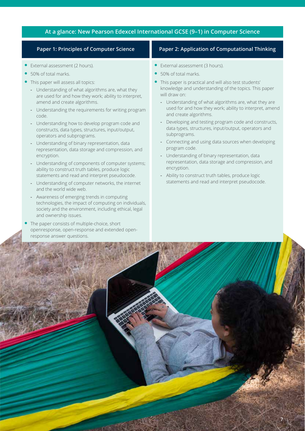#### **At a glance: New Pearson Edexcel International GCSE (9–1) in Computer Science**

- External assessment (2 hours).
- 50% of total marks.
- This paper will assess all topics:
	- **-** Understanding of what algorithms are, what they are used for and how they work; ability to interpret, amend and create algorithms.
	- **-** Understanding the requirements for writing program code.
	- **-** Understanding how to develop program code and constructs, data types, structures, input/output, operators and subprograms.
	- **-** Understanding of binary representation, data representation, data storage and compression, and encryption.
	- **-** Understanding of components of computer systems; ability to construct truth tables, produce logic statements and read and interpret pseudocode.
	- **-** Understanding of computer networks, the internet and the world wide web.
	- **-** Awareness of emerging trends in computing technologies, the impact of computing on individuals, society and the environment, including ethical, legal and ownership issues.
- The paper consists of multiple-choice, short openresponse, open-response and extended openresponse answer questions.

#### **Paper 1: Principles of Computer Science Paper 2: Application of Computational Thinking**

- External assessment (3 hours).
- 50% of total marks.
- This paper is practical and will also test students' knowledge and understanding of the topics. This paper will draw on:
	- **-** Understanding of what algorithms are, what they are used for and how they work; ability to interpret, amend and create algorithms.
	- **-** Developing and testing program code and constructs, data types, structures, input/output, operators and subprograms.
	- **-** Connecting and using data sources when developing program code.
	- **-** Understanding of binary representation, data representation, data storage and compression, and encryption.
	- **-** Ability to construct truth tables, produce logic statements and read and interpret pseudocode.

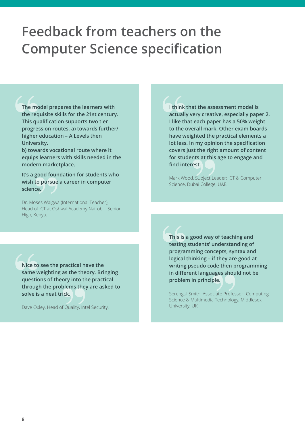### **Feedback from teachers on the Computer Science specification**

**The model prepares the learners with the requisite skills for the 21st century. This qualification supports two tier progression routes. a) towards further/ higher education – A Levels then University.** 

**b) towards vocational route where it equips learners with skills needed in the modern marketplace.**

**It's a good foundation for students who wish to pursue a career in computer science.**

Dr. Moses Waigwa (International Teacher), Head of ICT at Oshwal Academy Nairobi - Senior High, Kenya.

**I think that the assessment model is actually very creative, especially paper 2. I like that each paper has a 50% weight to the overall mark. Other exam boards have weighted the practical elements a lot less. In my opinion the specification covers just the right amount of content for students at this age to engage and find interest.**

Mark Wood, Subject Leader: ICT & Computer Science, Dubai College, UAE.

**Nice to see the practical have the same weighting as the theory. Bringing questions of theory into the practical through the problems they are asked to solve is a neat trick.**

Dave Oxley, Head of Quality, Intel Security.

**This is a good way of teaching and testing students' understanding of programming concepts, syntax and logical thinking – if they are good at writing pseudo code then programming in different languages should not be problem in principle.**

Serengul Smith, Associate Professor- Computing Science & Multimedia Technology, Middlesex University, UK.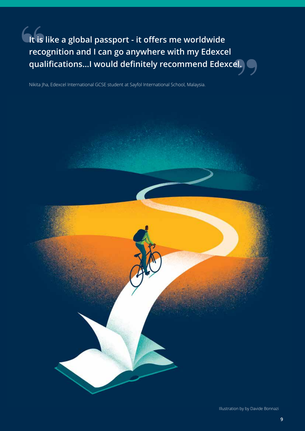**It is like a global passport - it offers me worldwide recognition and I can go anywhere with my Edexcel qualifications...I would definitely recommend Edexcel.**

Nikita Jha, Edexcel International GCSE student at Sayfol International School, Malaysia.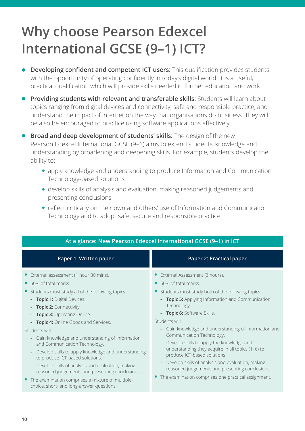# **Why choose Pearson Edexcel International GCSE (9–1) ICT?**

- **Developing confident and competent ICT users:** This qualification provides students with the opportunity of operating confidently in today's digital world. It is a useful, practical qualification which will provide skills needed in further education and work.
- **Providing students with relevant and transferable skills:** Students will learn about topics ranging from digital devices and connectivity, safe and responsible practice, and understand the impact of internet on the way that organisations do business. They will be also be encouraged to practice using software applications effectively.
- **.** Broad and deep development of students' skills: The design of the new Pearson Edexcel International GCSE (9–1) aims to extend students' knowledge and understanding by broadening and deepening skills. For example, students develop the ability to:
	- apply knowledge and understanding to produce Information and Communication Technology-based solutions
	- develop skills of analysis and evaluation, making reasoned judgements and presenting conclusions
	- reflect critically on their own and others' use of Information and Communication Technology and to adopt safe, secure and responsible practice.

| At a glance: New Pearson Edexcel International GCSE (9-1) in ICT                                                                                                                                                                                                                                                                                                                                                                                                                                                                                                                                                                                                               |                                                                                                                                                                                                                                                                                                                                                                                                                                                                                                                                                                                                                                             |  |  |
|--------------------------------------------------------------------------------------------------------------------------------------------------------------------------------------------------------------------------------------------------------------------------------------------------------------------------------------------------------------------------------------------------------------------------------------------------------------------------------------------------------------------------------------------------------------------------------------------------------------------------------------------------------------------------------|---------------------------------------------------------------------------------------------------------------------------------------------------------------------------------------------------------------------------------------------------------------------------------------------------------------------------------------------------------------------------------------------------------------------------------------------------------------------------------------------------------------------------------------------------------------------------------------------------------------------------------------------|--|--|
| Paper 1: Written paper                                                                                                                                                                                                                                                                                                                                                                                                                                                                                                                                                                                                                                                         | Paper 2: Practical paper                                                                                                                                                                                                                                                                                                                                                                                                                                                                                                                                                                                                                    |  |  |
| External assessment (1 hour 30 mins).<br>50% of total marks.<br>Students must study all of the following topics:<br>$\bullet$<br>- Topic 1: Digital Devices.<br>- Topic 2: Connectivity.<br>- Topic 3: Operating Online.<br>- Topic 4: Online Goods and Services.<br>Students will:<br>- Gain knowledge and understanding of Information<br>and Communication Technology.<br>Develop skills to apply knowledge and understanding<br>to produce ICT-based solutions.<br>Develop skills of analysis and evaluation, making<br>reasoned judgements and presenting conclusions.<br>• The examination comprises a mixture of multiple-<br>choice, short- and long-answer questions. | External Assessment (3 hours).<br>50% of total marks.<br>$\bullet$<br>Students must study both of the following topics:<br>- Topic 5: Applying Information and Communication<br>Technology.<br>Topic 6: Software Skills.<br>Students will:<br>Gain knowledge and understanding of Information and<br>$\sim$<br>Communication Technology.<br>Develop skills to apply the knowledge and<br>understanding they acquire in all topics (1-6) to<br>produce ICT-based solutions.<br>Develop skills of analysis and evaluation, making<br>reasoned judgements and presenting conclusions.<br>• The examination comprises one practical assignment. |  |  |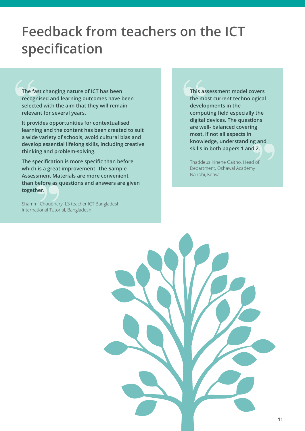### **Feedback from teachers on the ICT specification**

**The fast changing nature of ICT has been recognised and learning outcomes have been selected with the aim that they will remain relevant for several years.**

**It provides opportunities for contextualised learning and the content has been created to suit a wide variety of schools, avoid cultural bias and develop essential lifelong skills, including creative thinking and problem-solving.**

**The specification is more specific than before which is a great improvement. The Sample Assessment Materials are more convenient than before as questions and answers are given together.**

Shammi Choudhary, L3 teacher ICT Bangladesh International Tutorial, Bangladesh.

**This assessment model covers the most current technological developments in the computing field especially the digital devices. The questions are well- balanced covering most, if not all aspects in knowledge, understanding and skills in both papers 1 and 2.**

Thaddeus Kinene Gaitho, Head of Department, Oshawal Academy Nairobi, Kenya.

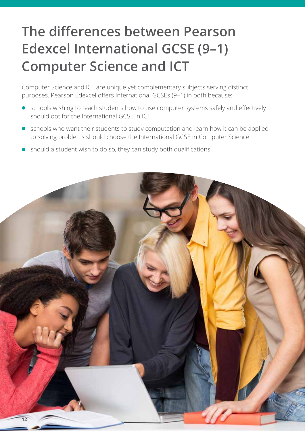# **The differences between Pearson Edexcel International GCSE (9–1) Computer Science and ICT**

Computer Science and ICT are unique yet complementary subjects serving distinct purposes. Pearson Edexcel offers International GCSEs (9–1) in both because:

- schools wishing to teach students how to use computer systems safely and effectively should opt for the International GCSE in ICT
- schools who want their students to study computation and learn how it can be applied to solving problems should choose the International GCSE in Computer Science
- should a student wish to do so, they can study both qualifications.

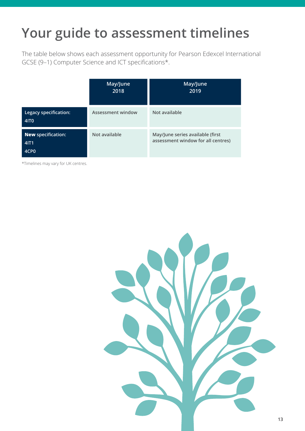### **Your guide to assessment timelines**

The table below shows each assessment opportunity for Pearson Edexcel International GCSE (9–1) Computer Science and ICT specifications\*.

|                                                       | May/June<br>2018  | May/June<br>2019                                                       |
|-------------------------------------------------------|-------------------|------------------------------------------------------------------------|
| Legacy specification:<br>41T <sub>0</sub>             | Assessment window | Not available                                                          |
| <b>New specification:</b><br>4IT1<br>4CP <sub>0</sub> | Not available     | May/June series available (first<br>assessment window for all centres) |

\*Timelines may vary for UK centres.

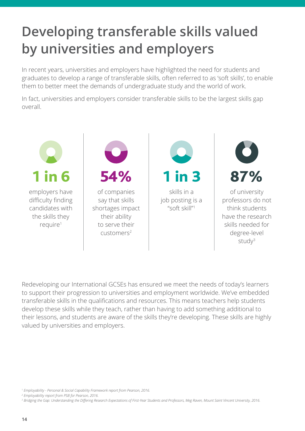# **Developing transferable skills valued by universities and employers**

In recent years, universities and employers have highlighted the need for students and graduates to develop a range of transferable skills, often referred to as 'soft skills', to enable them to better meet the demands of undergraduate study and the world of work.

In fact, universities and employers consider transferable skills to be the largest skills gap overall.



Redeveloping our International GCSEs has ensured we meet the needs of today's learners to support their progression to universities and employment worldwide. We've embedded transferable skills in the qualifications and resources. This means teachers help students develop these skills while they teach, rather than having to add something additional to their lessons, and students are aware of the skills they're developing. These skills are highly valued by universities and employers.

*<sup>1</sup> Employability - Personal & Social Capability Framework report from Pearson, 2016.*

*<sup>2</sup> Employability report from PSB for Pearson, 2016.*

*<sup>3</sup> Bridging the Gap: Understanding the Differing Research Expectations of First-Year Students and Professors, Meg Raven, Mount Saint Vincent University, 2016.*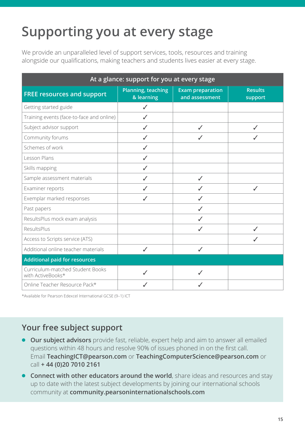# **Supporting you at every stage**

We provide an unparalleled level of support services, tools, resources and training alongside our qualifications, making teachers and students lives easier at every stage.

| At a glance: support for you at every stage           |                                         |                                           |                           |  |
|-------------------------------------------------------|-----------------------------------------|-------------------------------------------|---------------------------|--|
| <b>FREE resources and support</b>                     | <b>Planning, teaching</b><br>& learning | <b>Exam preparation</b><br>and assessment | <b>Results</b><br>support |  |
| Getting started guide                                 | ✓                                       |                                           |                           |  |
| Training events (face-to-face and online)             | ✓                                       |                                           |                           |  |
| Subject advisor support                               |                                         |                                           |                           |  |
| Community forums                                      | J                                       |                                           |                           |  |
| Schemes of work                                       | ✓                                       |                                           |                           |  |
| Lesson Plans                                          | ✓                                       |                                           |                           |  |
| Skills mapping                                        |                                         |                                           |                           |  |
| Sample assessment materials                           |                                         | $\checkmark$                              |                           |  |
| Examiner reports                                      | ✓                                       |                                           | J                         |  |
| Exemplar marked responses                             | ✓                                       |                                           |                           |  |
| Past papers                                           |                                         |                                           |                           |  |
| ResultsPlus mock exam analysis                        |                                         |                                           |                           |  |
| ResultsPlus                                           |                                         | J                                         |                           |  |
| Access to Scripts service (ATS)                       |                                         |                                           |                           |  |
| Additional online teacher materials                   | $\checkmark$                            | $\checkmark$                              |                           |  |
| <b>Additional paid for resources</b>                  |                                         |                                           |                           |  |
| Curriculum-matched Student Books<br>with ActiveBooks* |                                         |                                           |                           |  |
| Online Teacher Resource Pack*                         |                                         |                                           |                           |  |

\*Available for Pearson Edexcel International GCSE (9–1) ICT

#### **Your free subject support**

- **Our subject advisors** provide fast, reliable, expert help and aim to answer all emailed questions within 48 hours and resolve 90% of issues phoned in on the first call. Email **[TeachingICT@pearson.com](mailto:TeachingICT%40pearson.com?subject=)** or **[TeachingComputerScience@pearson.com](mailto:TeachingComputerScience%40pearson.com?subject=)** or call **+ 44 (0)20 7010 2161**
- **Connect with other educators around the world**, share ideas and resources and stay up to date with the latest subject developments by joining our international schools community at **community.[pearsoninternationalschools.com](https://community.pearsoninternationalschools.com/homepage)**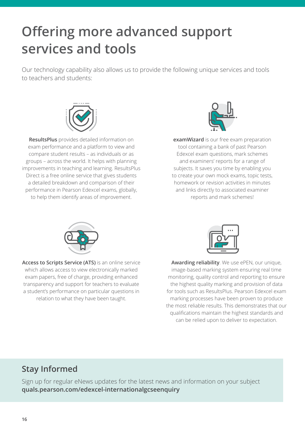# **Offering more advanced support services and tools**

Our technology capability also allows us to provide the following unique services and tools to teachers and students:



**ResultsPlus** provides detailed information on exam performance and a platform to view and compare student results – as individuals or as groups – across the world. It helps with planning improvements in teaching and learning. ResultsPlus Direct is a free online service that gives students a detailed breakdown and comparison of their performance in Pearson Edexcel exams, globally, to help them identify areas of improvement.



**examWizard** is our free exam preparation tool containing a bank of past Pearson Edexcel exam questions, mark schemes and examiners' reports for a range of subjects. It saves you time by enabling you to create your own mock exams, topic tests, homework or revision activities in minutes and links directly to associated examiner reports and mark schemes!



**Access to Scripts Service (ATS)** is an online service which allows access to view electronically marked exam papers, free of charge, providing enhanced transparency and support for teachers to evaluate a student's performance on particular questions in relation to what they have been taught.



**Awarding reliability**. We use ePEN, our unique, image-based marking system ensuring real time monitoring, quality control and reporting to ensure the highest quality marking and provision of data for tools such as ResultsPlus. Pearson Edexcel exam marking processes have been proven to produce the most reliable results. This demonstrates that our qualifications maintain the highest standards and can be relied upon to deliver to expectation.

#### **Stay Informed**

Sign up for regular eNews updates for the latest news and information on your subject **[quals.pearson.com/edexcel-internationalgcseenquiry](http://quals.pearson.com/edexcel-internationalgcseenquiry)**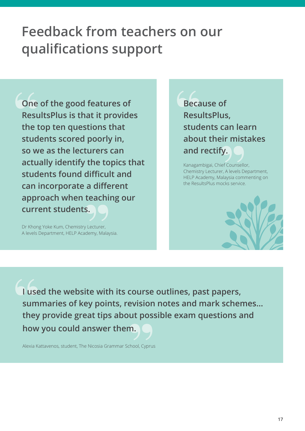### **Feedback from teachers on our qualifications support**

**One of the good features of ResultsPlus is that it provides the top ten questions that students scored poorly in, so we as the lecturers can actually identify the topics that students found difficult and can incorporate a different approach when teaching our current students.**

Dr Khong Yoke Kum, Chemistry Lecturer, A levels Department, HELP Academy, Malaysia.

**Because of ResultsPlus, students can learn about their mistakes and rectify.**

Kanagambigai, Chief Counsellor, Chemistry Lecturer, A levels Department, HELP Academy, Malaysia commenting on the ResultsPlus mocks service.



**I used the website with its course outlines, past papers, summaries of key points, revision notes and mark schemes… they provide great tips about possible exam questions and how you could answer them.**

Alexia Kattavenos, student, The Nicosia Grammar School, Cyprus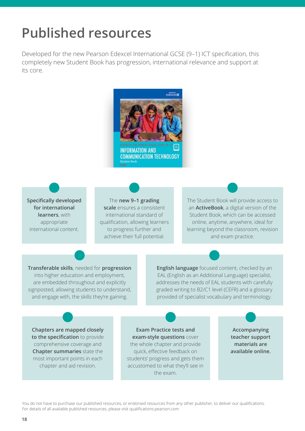### **Published resources**

Developed for the new Pearson Edexcel International GCSE (9–1) ICT specification, this completely new Student Book has progression, international relevance and support at its core.



**Specifically developed for international learners**, with appropriate international content.

The **new 9–1 grading scale** ensures a consistent international standard of qualification, allowing learners to progress further and achieve their full potential.

The Student Book will provide access to an **ActiveBook**, a digital version of the Student Book, which can be accessed online, anytime, anywhere, ideal for learning beyond the classroom, revision and exam practice.

**Transferable skills**, needed for **progression** into higher education and employment, are embedded throughout and explicitly signposted, allowing students to understand, and engage with, the skills they're gaining.

**English language** focused content, checked by an EAL (English as an Additional Language) specialist, addresses the needs of EAL students with carefully graded writing to B2/C1 level (CEFR) and a glossary provided of specialist vocabulary and terminology.

**Chapters are mapped closely to the specification** to provide comprehensive coverage and **Chapter summaries** state the most important points in each chapter and aid revision.

**Exam Practice tests and exam-style questions** cover the whole chapter and provide quick, effective feedback on students' progress and gets them accustomed to what they'll see in the exam.

**Accompanying teacher support materials are available online.**

You do not have to purchase our published resources, or endorsed resources from any other publisher, to deliver our qualifications. For details of all available published resources, please visit [qualifications.pearson.com](https://qualifications.pearson.com/en/home.html)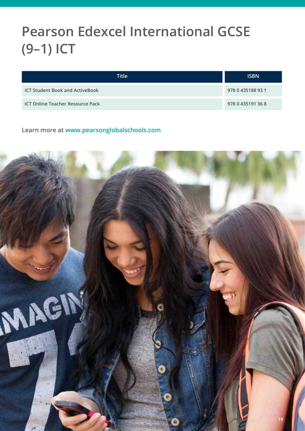### **Pearson Edexcel International GCSE (9–1) ICT**

| Title                                   | <b>ISBN</b>       |
|-----------------------------------------|-------------------|
| <b>ICT Student Book and ActiveBook</b>  | 978 0 435188 93 1 |
| <b>ICT Online Teacher Resource Pack</b> | 978 0 435191 36 8 |

**Learn more at [www.pearsonglobalschools.com](http://www.pearsonglobalschools.com)**